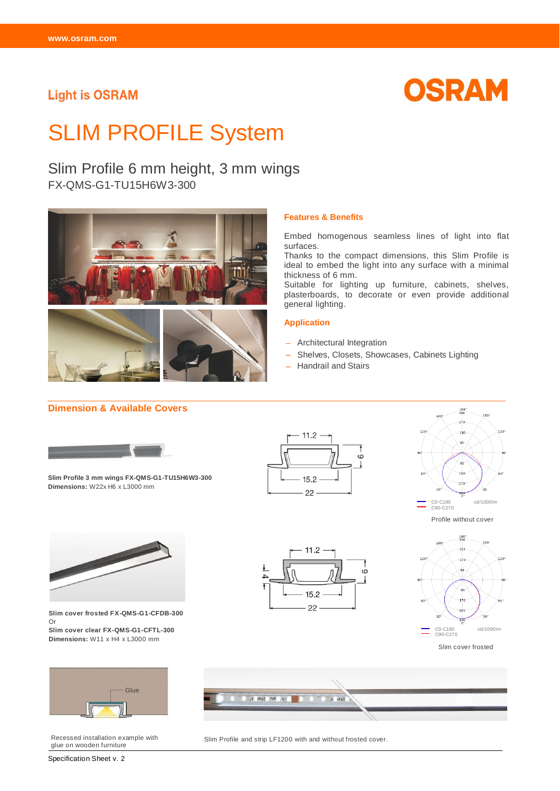### **Light is OSRAM**



# SLIM PROFILE System

## Slim Profile 6 mm height, 3 mm wings

FX-QMS-G1-TU15H6W3-300



#### **Features & Benefits**

Embed homogenous seamless lines of light into flat surfaces.

Thanks to the compact dimensions, this Slim Profile is ideal to embed the light into any surface with a minimal thickness of 6 mm.

Suitable for lighting up furniture, cabinets, shelves, plasterboards, to decorate or even provide additional general lighting.

#### **Application**

- Architectural Integration
- Shelves, Closets, Showcases, Cabinets Lighting
- Handrail and Stairs

#### **Dimension & Available Covers** 180°<br>360 150  $270$ 120 120  $11.2$  $\dot{\circ}$ 180 **Slim Profile 3 mm wings FX-QMS-G1-TU15H6W3-300**  $15.2$ **Dimensions:** W22x H6 x L3000 mm 22 C0-C180 cd/1000lm C90-C270 Profile without cover  $\frac{180}{340}$ 150  $255$  $11.2$  $120$ 120  $170$ 85  $\circ$  $\Delta$ 85  $15.2$ 170  $22$ **Slim cover frosted FX-QMS-G1-CFDB-300**  Or **Slim cover clear FX-QMS-G1-CFTL-300** C0-C180 cd/1000lm C90-C270 **Dimensions:** W11 x H4 x L3000 mm

Slim cover frosted



glue on wooden furniture



Recessed installation example with Slim Profile and strip LF1200 with and without frosted cover.

Specification Sheet v. 2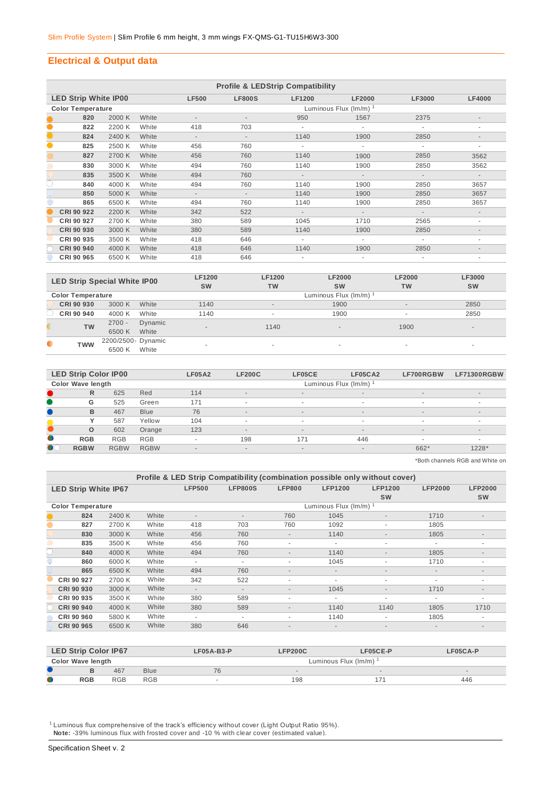#### **Electrical & Output data**

|           | <b>Profile &amp; LEDStrip Compatibility</b> |        |       |                          |                             |               |               |               |                          |  |  |
|-----------|---------------------------------------------|--------|-------|--------------------------|-----------------------------|---------------|---------------|---------------|--------------------------|--|--|
|           | <b>LED Strip White IP00</b>                 |        |       | <b>LF500</b>             | <b>LF800S</b>               | <b>LF1200</b> | <b>LF2000</b> | <b>LF3000</b> | <b>LF4000</b>            |  |  |
|           | <b>Color Temperature</b>                    |        |       |                          | Luminous Flux $(lm/m)^{-1}$ |               |               |               |                          |  |  |
|           | 820                                         | 2000 K | White |                          |                             | 950           | 1567          | 2375          | $\overline{\phantom{a}}$ |  |  |
| $\bullet$ | 822                                         | 2200 K | White | 418                      | 703                         |               |               |               |                          |  |  |
| $\bullet$ | 824                                         | 2400 K | White | $\overline{\phantom{a}}$ | $\overline{\phantom{a}}$    | 1140          | 1900          | 2850          |                          |  |  |
| $\bullet$ | 825                                         | 2500 K | White | 456                      | 760                         | $\sim$        | ٠             | ٠             | ۰                        |  |  |
|           | 827                                         | 2700 K | White | 456                      | 760                         | 1140          | 1900          | 2850          | 3562                     |  |  |
|           | 830                                         | 3000 K | White | 494                      | 760                         | 1140          | 1900          | 2850          | 3562                     |  |  |
|           | 835                                         | 3500 K | White | 494                      | 760                         | $\sim$        | $\sim$        | $\sim$        | $\overline{\phantom{a}}$ |  |  |
| O         | 840                                         | 4000 K | White | 494                      | 760                         | 1140          | 1900          | 2850          | 3657                     |  |  |
|           | 850                                         | 5000 K | White | $\overline{\phantom{a}}$ | $\overline{\phantom{a}}$    | 1140          | 1900          | 2850          | 3657                     |  |  |
|           | 865                                         | 6500 K | White | 494                      | 760                         | 1140          | 1900          | 2850          | 3657                     |  |  |
|           | CRI 90 922                                  | 2200 K | White | 342                      | 522                         | $\sim$        | $\sim$        | $\sim$        | $\overline{\phantom{a}}$ |  |  |
|           | CRI 90 927                                  | 2700 K | White | 380                      | 589                         | 1045          | 1710          | 2565          | ٠                        |  |  |
|           | CRI 90 930                                  | 3000 K | White | 380                      | 589                         | 1140          | 1900          | 2850          |                          |  |  |
|           | CRI 90 935                                  | 3500 K | White | 418                      | 646                         | $\sim$        | ٠             |               | ٠                        |  |  |
|           | <b>CRI 90 940</b>                           | 4000 K | White | 418                      | 646                         | 1140          | 1900          | 2850          |                          |  |  |
|           | CRI 90 965                                  | 6500 K | White | 418                      | 646                         |               |               |               |                          |  |  |

| <b>LED Strip Special White IP00</b> |                          |                              |                  | <b>LF1200</b><br><b>SW</b> | <b>LF1200</b><br><b>TW</b> | <b>LF2000</b><br><b>SW</b> | <b>LF2000</b><br>TW      | <b>LF3000</b><br><b>SW</b> |
|-------------------------------------|--------------------------|------------------------------|------------------|----------------------------|----------------------------|----------------------------|--------------------------|----------------------------|
|                                     | <b>Color Temperature</b> |                              |                  |                            |                            | Luminous Flux (Im/m) 1     |                          |                            |
|                                     | CRI 90 930               | 3000 K                       | White            | 1140                       | $\overline{a}$             | 1900                       | $\overline{\phantom{a}}$ | 2850                       |
|                                     | CRI 90 940               | 4000 K                       | White            | 1140                       | ۰                          | 1900                       | $\overline{\phantom{a}}$ | 2850                       |
|                                     | <b>TW</b>                | $2700 -$<br>6500 K           | Dynamic<br>White |                            | 1140                       | $\sim$                     | 1900                     | $\overline{\phantom{a}}$   |
| $\bullet$                           | <b>TWW</b>               | 2200/2500- Dynamic<br>6500 K | White            |                            |                            |                            | $\sim$                   | $\sim$                     |

|           | <b>LED Strip Color IP00</b> |             |             | <b>LF05A2</b>            | <b>LF200C</b>            | LF05CE | LF05CA2                  | LF700RGBW | LF71300RGBW              |  |  |
|-----------|-----------------------------|-------------|-------------|--------------------------|--------------------------|--------|--------------------------|-----------|--------------------------|--|--|
|           | <b>Color Wave length</b>    |             |             |                          | Luminous Flux (Im/m)     |        |                          |           |                          |  |  |
|           | $\mathsf{R}$                | 625         | Red         | 114                      | $\overline{a}$           | $\sim$ | $\sim$                   | $\sim$    | $\overline{\phantom{a}}$ |  |  |
|           | G                           | 525         | Green       | 171                      | $\sim$                   | ۰      | $\sim$                   |           | ۰                        |  |  |
|           | B                           | 467         | <b>Blue</b> | 76                       | $\overline{a}$           | $\sim$ | $\sim$                   | $\sim$    | $\overline{\phantom{a}}$ |  |  |
|           |                             | 587         | Yellow      | 104                      | $\overline{\phantom{a}}$ |        | $\overline{\phantom{a}}$ |           | $\overline{\phantom{a}}$ |  |  |
|           | $\Omega$                    | 602         | Orange      | 123                      | $\overline{a}$           | $\sim$ | $\overline{\phantom{a}}$ | $\sim$    | $\overline{\phantom{a}}$ |  |  |
| $\bullet$ | <b>RGB</b>                  | <b>RGB</b>  | <b>RGB</b>  | $\overline{\phantom{a}}$ | 198                      | 171    | 446                      |           | ۰                        |  |  |
| $\bullet$ | <b>RGBW</b>                 | <b>RGBW</b> | <b>RGBW</b> | $\overline{\phantom{a}}$ | $\overline{a}$           | $\sim$ | $\sim$                   | 662*      | $1228*$                  |  |  |
|           |                             |             |             |                          |                          |        |                          |           |                          |  |  |

\*Both channels RGB and White on

|                             | Profile & LED Strip Compatibility (combination possible only without cover) |        |       |                          |                          |                          |                          |                             |                          |                             |  |  |
|-----------------------------|-----------------------------------------------------------------------------|--------|-------|--------------------------|--------------------------|--------------------------|--------------------------|-----------------------------|--------------------------|-----------------------------|--|--|
| <b>LED Strip White IP67</b> |                                                                             |        |       | <b>LFP500</b>            | <b>LFP800S</b>           | <b>LFP800</b>            | <b>LFP1200</b>           | <b>LFP1200</b><br><b>SW</b> | <b>LFP2000</b>           | <b>LFP2000</b><br><b>SW</b> |  |  |
| <b>Color Temperature</b>    |                                                                             |        |       | Luminous Flux (Im/m)     |                          |                          |                          |                             |                          |                             |  |  |
|                             | 824                                                                         | 2400 K | White | $\overline{\phantom{a}}$ | ٠                        | 760                      | 1045                     | $\overline{\phantom{a}}$    | 1710                     | $\overline{\phantom{a}}$    |  |  |
|                             | 827                                                                         | 2700 K | White | 418                      | 703                      | 760                      | 1092                     | $\overline{\phantom{a}}$    | 1805                     |                             |  |  |
|                             | 830                                                                         | 3000 K | White | 456                      | 760                      | $\overline{a}$           | 1140                     | $\overline{a}$              | 1805                     |                             |  |  |
|                             | 835                                                                         | 3500 K | White | 456                      | 760                      |                          | ٠                        | $\overline{\phantom{a}}$    | ۰                        |                             |  |  |
|                             | 840                                                                         | 4000 K | White | 494                      | 760                      |                          | 1140                     | $\overline{\phantom{a}}$    | 1805                     |                             |  |  |
|                             | 860                                                                         | 6000 K | White | ٠                        | ۰                        | $\overline{\phantom{a}}$ | 1045                     | ٠                           | 1710                     | ٠                           |  |  |
|                             | 865                                                                         | 6500 K | White | 494                      | 760                      | $\overline{\phantom{a}}$ | $\overline{\phantom{a}}$ | $\overline{\phantom{a}}$    | $\overline{\phantom{a}}$ | $\overline{\phantom{a}}$    |  |  |
|                             | CRI 90 927                                                                  | 2700 K | White | 342                      | 522                      |                          | ٠                        | $\overline{\phantom{a}}$    | $\overline{\phantom{a}}$ | $\overline{\phantom{a}}$    |  |  |
|                             | CRI 90 930                                                                  | 3000 K | White | $\overline{\phantom{a}}$ | $\overline{\phantom{a}}$ | $\overline{a}$           | 1045                     | $\overline{\phantom{a}}$    | 1710                     | $\overline{\phantom{a}}$    |  |  |
|                             | CRI 90 935                                                                  | 3500 K | White | 380                      | 589                      | $\overline{\phantom{a}}$ | ٠                        | ٠                           |                          | ٠                           |  |  |
|                             | <b>CRI 90 940</b>                                                           | 4000 K | White | 380                      | 589                      | $\overline{\phantom{a}}$ | 1140                     | 1140                        | 1805                     | 1710                        |  |  |
|                             | CRI 90 960                                                                  | 5800 K | White | ٠                        | ٠                        |                          | 1140                     | ٠                           | 1805                     | ۰                           |  |  |
|                             | CRI 90 965                                                                  | 6500 K | White | 380                      | 646                      | $\overline{\phantom{a}}$ | $\blacksquare$           | $\overline{\phantom{a}}$    | $\overline{\phantom{a}}$ | $\overline{\phantom{a}}$    |  |  |

|           | <b>LED Strip Color IP67</b> |            |             | $LFO5A-B3-P$ | <b>LFP200C</b><br>LF05CE-P  |        | LF05CA-P |  |  |  |
|-----------|-----------------------------|------------|-------------|--------------|-----------------------------|--------|----------|--|--|--|
|           | Color Wave length           |            |             |              | Luminous Flux $(lm/m)^{-1}$ |        |          |  |  |  |
|           |                             | 467        | <b>Blue</b> | 76           |                             | $\sim$ |          |  |  |  |
| $\bullet$ | <b>RGB</b>                  | <b>RGB</b> | <b>RGB</b>  |              | 198                         |        | 446      |  |  |  |
|           |                             |            |             |              |                             |        |          |  |  |  |

<sup>1</sup> Luminous flux comprehensive of the track's efficiency without cover (Light Output Ratio 95%).  **Note:** -39% luminous flux with frosted cover and -10 % with clear cover (estimated value).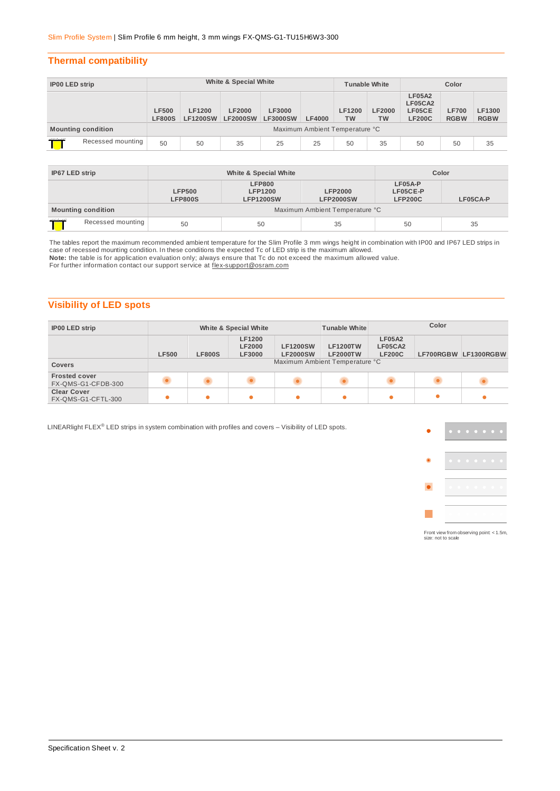#### **Thermal compatibility**

| <b>IP00 LED strip</b>     |                   | White & Special White         |                                  |                                  |                                  |               | <b>Tunable White</b>           |                            | Color                                               |                             |                       |
|---------------------------|-------------------|-------------------------------|----------------------------------|----------------------------------|----------------------------------|---------------|--------------------------------|----------------------------|-----------------------------------------------------|-----------------------------|-----------------------|
|                           |                   | <b>LF500</b><br><b>LF800S</b> | <b>LF1200</b><br><b>LF1200SW</b> | <b>LF2000</b><br><b>LF2000SW</b> | <b>LF3000</b><br><b>LF3000SW</b> | <b>LF4000</b> | <b>LF1200</b><br><b>TW</b>     | <b>LF2000</b><br><b>TW</b> | <b>LF05A2</b><br>LF05CA2<br>LF05CE<br><b>LF200C</b> | <b>LF700</b><br><b>RGBW</b> | LF1300<br><b>RGBW</b> |
| <b>Mounting condition</b> |                   |                               |                                  |                                  |                                  |               | Maximum Ambient Temperature °C |                            |                                                     |                             |                       |
|                           | Recessed mounting | 50                            | 50                               | 35                               | 25                               | 25            | 50                             | 35                         | 50                                                  | 50                          | 35                    |

| IP67 LED strip |                           |                                 | White & Special White                               | Color                              |                                       |          |
|----------------|---------------------------|---------------------------------|-----------------------------------------------------|------------------------------------|---------------------------------------|----------|
|                |                           | <b>LFP500</b><br><b>LFP800S</b> | <b>LFP800</b><br><b>LFP1200</b><br><b>LFP1200SW</b> | <b>LFP2000</b><br><b>LFP2000SW</b> | LF05A-P<br>LF05CE-P<br><b>LFP200C</b> | LF05CA-P |
|                | <b>Mounting condition</b> |                                 |                                                     | Maximum Ambient Temperature °C     |                                       |          |
|                | Recessed mounting         | 50                              | 50                                                  | 35                                 | 50                                    | 35       |

The tables report the maximum recommended ambient temperature for the Slim Profile 3 mm wings height in combination with IP00 and IP67 LED strips in case of recessed mounting condition. In these conditions the expected Tc of LED strip is the maximum allowed.

**Note:** the table is for application evaluation only; always ensure that Tc do not exceed the maximum allowed value.

For further information contact our support service at [flex-support@osram.com](mailto:flex-support@osram.com) 

#### **Visibility of LED spots**

| <b>IP00 LED strip</b>                      |                                |               | White & Special White                           |                                    | <b>Tunable White</b>               | Color                                     |           |                      |
|--------------------------------------------|--------------------------------|---------------|-------------------------------------------------|------------------------------------|------------------------------------|-------------------------------------------|-----------|----------------------|
|                                            | <b>LF500</b>                   | <b>LF800S</b> | <b>LF1200</b><br><b>LF2000</b><br><b>LF3000</b> | <b>LF1200SW</b><br><b>LF2000SW</b> | <b>LF1200TW</b><br><b>LF2000TW</b> | <b>LF05A2</b><br>LF05CA2<br><b>LF200C</b> |           | LF700RGBW LF1300RGBW |
| <b>Covers</b>                              | Maximum Ambient Temperature °C |               |                                                 |                                    |                                    |                                           |           |                      |
| <b>Frosted cover</b><br>FX-QMS-G1-CFDB-300 |                                |               |                                                 |                                    |                                    |                                           |           |                      |
| <b>Clear Cover</b><br>FX-QMS-G1-CFTL-300   |                                | $\bullet$     |                                                 |                                    |                                    | $\bullet$                                 | $\bullet$ |                      |

LINEARlight FLEX® LED strips in system combination with profiles and covers - Visibility of LED spots.



Front view from observing point: < 1.5m, size: not to scale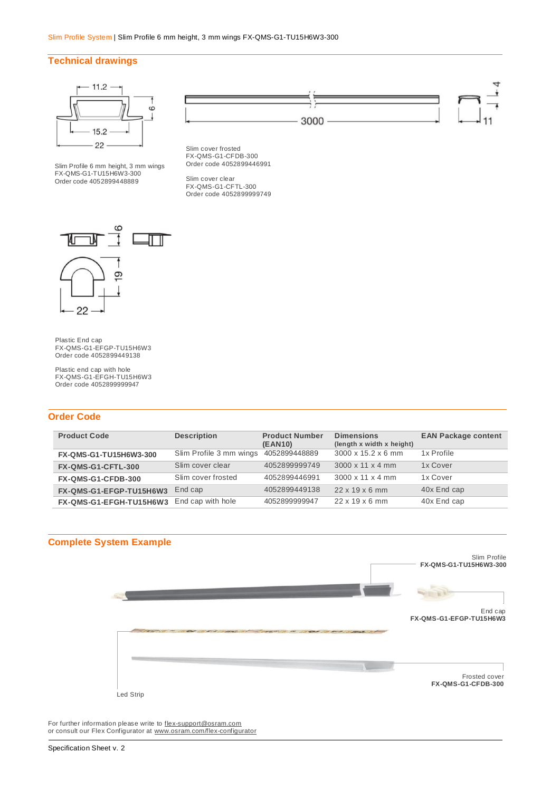#### **Technical drawings**



Slim Profile 6 mm height, 3 mm wings FX-QMS-G1-TU15H6W3-300 Order code 4052899448889



Slim cover clear FX-QMS-G1-CFTL-300 Order code 4052899999749



Plastic End cap FX-QMS-G1-EFGP-TU15H6W3 Order code 4052899449138

Plastic end cap with hole FX-QMS-G1-EFGH-TU15H6W3 Order code 4052899999947

#### **Order Code**

| <b>Product Code</b>     | <b>Description</b>      | <b>Product Number</b>    | <b>Dimensions</b><br>(length x width x height) | <b>EAN Package content</b> |
|-------------------------|-------------------------|--------------------------|------------------------------------------------|----------------------------|
| FX-QMS-G1-TU15H6W3-300  | Slim Profile 3 mm wings | (EAN10)<br>4052899448889 | 3000 x 15.2 x 6 mm                             | 1x Profile                 |
| FX-QMS-G1-CFTL-300      | Slim cover clear        | 4052899999749            | $3000 \times 11 \times 4$ mm                   | 1x Cover                   |
| FX-QMS-G1-CFDB-300      | Slim cover frosted      | 4052899446991            | $3000 \times 11 \times 4$ mm                   | 1x Cover                   |
| FX-QMS-G1-EFGP-TU15H6W3 | End cap                 | 4052899449138            | $22 \times 19 \times 6$ mm                     | 40x End cap                |
| FX-QMS-G1-EFGH-TU15H6W3 | End cap with hole       | 4052899999947            | $22 \times 19 \times 6$ mm                     | 40x End cap                |



For further information please write to **flex-support@osram.com** or consult our Flex Configurator at [www.osram.com/flex-configurator](http://www.osram.com/flex-configurator)